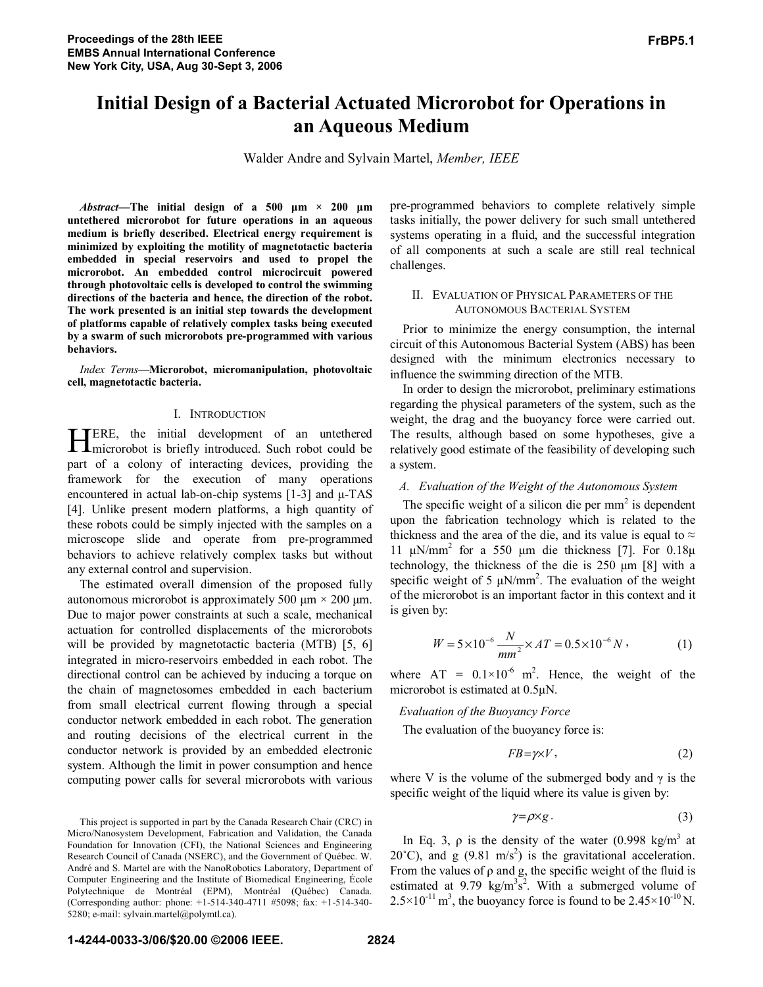# **Initial Design of a Bacterial Actuated Microrobot for Operations in an Aqueous Medium**

Walder Andre and Sylvain Martel, *Member, IEEE*

*Abstract***—The initial design of a 500 μm × 200 μm untethered microrobot for future operations in an aqueous medium is briefly described. Electrical energy requirement is minimized by exploiting the motility of magnetotactic bacteria embedded in special reservoirs and used to propel the microrobot. An embedded control microcircuit powered through photovoltaic cells is developed to control the swimming directions of the bacteria and hence, the direction of the robot. The work presented is an initial step towards the development of platforms capable of relatively complex tasks being executed by a swarm of such microrobots pre-programmed with various behaviors.** 

*Index Terms***—Microrobot, micromanipulation, photovoltaic cell, magnetotactic bacteria.** 

## I. INTRODUCTION

ERE, the initial development of an untethered HERE, the initial development of an untethered microrobot is briefly introduced. Such robot could be part of a colony of interacting devices, providing the framework for the execution of many operations encountered in actual lab-on-chip systems [1-3] and μ-TAS [4]. Unlike present modern platforms, a high quantity of these robots could be simply injected with the samples on a microscope slide and operate from pre-programmed behaviors to achieve relatively complex tasks but without any external control and supervision.

The estimated overall dimension of the proposed fully autonomous microrobot is approximately 500 μm  $\times$  200 μm. Due to major power constraints at such a scale, mechanical actuation for controlled displacements of the microrobots will be provided by magnetotactic bacteria (MTB) [5, 6] integrated in micro-reservoirs embedded in each robot. The directional control can be achieved by inducing a torque on the chain of magnetosomes embedded in each bacterium from small electrical current flowing through a special conductor network embedded in each robot. The generation and routing decisions of the electrical current in the conductor network is provided by an embedded electronic system. Although the limit in power consumption and hence computing power calls for several microrobots with various

This project is supported in part by the Canada Research Chair (CRC) in Micro/Nanosystem Development, Fabrication and Validation, the Canada Foundation for Innovation (CFI), the National Sciences and Engineering Research Council of Canada (NSERC), and the Government of Québec. W. André and S. Martel are with the NanoRobotics Laboratory, Department of Computer Engineering and the Institute of Biomedical Engineering, École Polytechnique de Montréal (EPM), Montréal (Québec) Canada. (Corresponding author: phone: +1-514-340-4711 #5098; fax: +1-514-340- 5280; e-mail: sylvain.martel@polymtl.ca).

pre-programmed behaviors to complete relatively simple tasks initially, the power delivery for such small untethered systems operating in a fluid, and the successful integration of all components at such a scale are still real technical challenges.

## II. EVALUATION OF PHYSICAL PARAMETERS OF THE AUTONOMOUS BACTERIAL SYSTEM

Prior to minimize the energy consumption, the internal circuit of this Autonomous Bacterial System (ABS) has been designed with the minimum electronics necessary to influence the swimming direction of the MTB.

In order to design the microrobot, preliminary estimations regarding the physical parameters of the system, such as the weight, the drag and the buoyancy force were carried out. The results, although based on some hypotheses, give a relatively good estimate of the feasibility of developing such a system.

## *A. Evaluation of the Weight of the Autonomous System*

The specific weight of a silicon die per  $mm<sup>2</sup>$  is dependent upon the fabrication technology which is related to the thickness and the area of the die, and its value is equal to  $\approx$ 11 μN/mm2 for a 550 μm die thickness [7]. For 0.18μ technology, the thickness of the die is 250 μm [8] with a specific weight of 5  $\mu$ N/mm<sup>2</sup>. The evaluation of the weight of the microrobot is an important factor in this context and it is given by:

$$
W = 5 \times 10^{-6} \frac{N}{mm^2} \times AT = 0.5 \times 10^{-6} N , \qquad (1)
$$

where  $AT = 0.1 \times 10^{-6}$  m<sup>2</sup>. Hence, the weight of the microrobot is estimated at  $0.5\mu$ N.

## *Evaluation of the Buoyancy Force*

The evaluation of the buoyancy force is:

$$
FB = \gamma \times V, \tag{2}
$$

where V is the volume of the submerged body and  $\gamma$  is the specific weight of the liquid where its value is given by:

$$
\gamma = \rho \times g \,. \tag{3}
$$

In Eq. 3,  $\rho$  is the density of the water (0.998 kg/m<sup>3</sup> at  $20^{\circ}$ C), and g (9.81 m/s<sup>2</sup>) is the gravitational acceleration. From the values of  $\rho$  and g, the specific weight of the fluid is estimated at  $9.79 \text{ kg/m}^3\text{s}^2$ . With a submerged volume of  $2.5 \times 10^{-11}$  m<sup>3</sup>, the buoyancy force is found to be  $2.45 \times 10^{-10}$  N.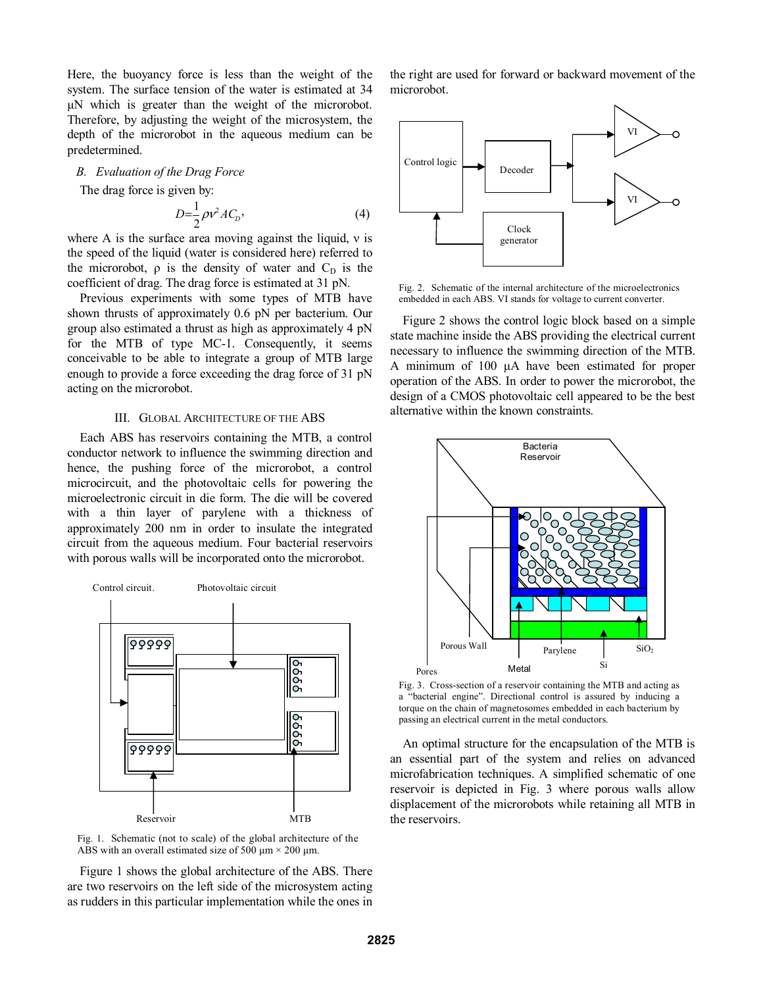Here, the buoyancy force is less than the weight of the system. The surface tension of the water is estimated at 34 μN which is greater than the weight of the microrobot. Therefore, by adjusting the weight of the microsystem, the depth of the microrobot in the aqueous medium can be predetermined.

## *B. Evaluation of the Drag Force*

The drag force is given by:

$$
D = \frac{1}{2} \rho v^2 A C_p,\tag{4}
$$

where A is the surface area moving against the liquid,  $\nu$  is the speed of the liquid (water is considered here) referred to the microrobot,  $\rho$  is the density of water and  $C_D$  is the coefficient of drag. The drag force is estimated at 31 pN.

Previous experiments with some types of MTB have shown thrusts of approximately 0.6 pN per bacterium. Our group also estimated a thrust as high as approximately 4 pN for the MTB of type MC-1. Consequently, it seems conceivable to be able to integrate a group of MTB large enough to provide a force exceeding the drag force of 31 pN acting on the microrobot.

# III. GLOBAL ARCHITECTURE OF THE ABS

Each ABS has reservoirs containing the MTB, a control conductor network to influence the swimming direction and hence, the pushing force of the microrobot, a control microcircuit, and the photovoltaic cells for powering the microelectronic circuit in die form. The die will be covered with a thin layer of parylene with a thickness of approximately 200 nm in order to insulate the integrated circuit from the aqueous medium. Four bacterial reservoirs with porous walls will be incorporated onto the microrobot.



Fig. 1. Schematic (not to scale) of the global architecture of the ABS with an overall estimated size of 500  $\mu$ m × 200  $\mu$ m.

Figure 1 shows the global architecture of the ABS. There are two reservoirs on the left side of the microsystem acting as rudders in this particular implementation while the ones in the right are used for forward or backward movement of the microrobot.



Fig. 2. Schematic of the internal architecture of the microelectronics embedded in each ABS. VI stands for voltage to current converter.

Figure 2 shows the control logic block based on a simple state machine inside the ABS providing the electrical current necessary to influence the swimming direction of the MTB. A minimum of 100 μA have been estimated for proper operation of the ABS. In order to power the microrobot, the design of a CMOS photovoltaic cell appeared to be the best alternative within the known constraints.



Fig. 3. Cross-section of a reservoir containing the MTB and acting as a "bacterial engine". Directional control is assured by inducing a torque on the chain of magnetosomes embedded in each bacterium by passing an electrical current in the metal conductors.

An optimal structure for the encapsulation of the MTB is an essential part of the system and relies on advanced microfabrication techniques. A simplified schematic of one reservoir is depicted in Fig. 3 where porous walls allow displacement of the microrobots while retaining all MTB in the reservoirs.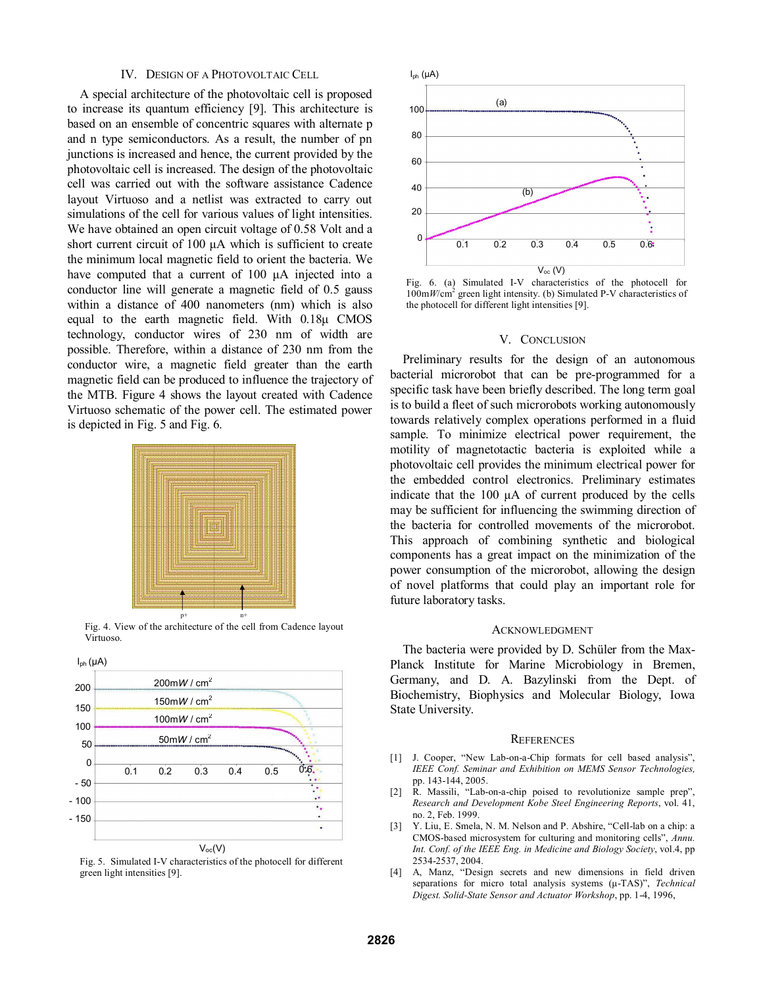## IV. DESIGN OF A PHOTOVOLTAIC CELL

A special architecture of the photovoltaic cell is proposed to increase its quantum efficiency [9]. This architecture is based on an ensemble of concentric squares with alternate p and n type semiconductors. As a result, the number of pn junctions is increased and hence, the current provided by the photovoltaic cell is increased. The design of the photovoltaic cell was carried out with the software assistance Cadence layout Virtuoso and a netlist was extracted to carry out simulations of the cell for various values of light intensities. We have obtained an open circuit voltage of 0.58 Volt and a short current circuit of 100 μA which is sufficient to create the minimum local magnetic field to orient the bacteria. We have computed that a current of 100 μA injected into a conductor line will generate a magnetic field of 0.5 gauss within a distance of 400 nanometers (nm) which is also equal to the earth magnetic field. With 0.18μ CMOS technology, conductor wires of 230 nm of width are possible. Therefore, within a distance of 230 nm from the conductor wire, a magnetic field greater than the earth magnetic field can be produced to influence the trajectory of the MTB. Figure 4 shows the layout created with Cadence Virtuoso schematic of the power cell. The estimated power is depicted in Fig. 5 and Fig. 6.



Fig. 4. View of the architecture of the cell from Cadence layout Virtuoso.



 Fig. 5. Simulated I-V characteristics of the photocell for different green light intensities [9].



Fig. 6. (a) Simulated I-V characteristics of the photocell for 100m*W*/cm2 green light intensity. (b) Simulated P-V characteristics of the photocell for different light intensities [9].

## V. CONCLUSION

Preliminary results for the design of an autonomous bacterial microrobot that can be pre-programmed for a specific task have been briefly described. The long term goal is to build a fleet of such microrobots working autonomously towards relatively complex operations performed in a fluid sample. To minimize electrical power requirement, the motility of magnetotactic bacteria is exploited while a photovoltaic cell provides the minimum electrical power for the embedded control electronics. Preliminary estimates indicate that the 100 μA of current produced by the cells may be sufficient for influencing the swimming direction of the bacteria for controlled movements of the microrobot. This approach of combining synthetic and biological components has a great impact on the minimization of the power consumption of the microrobot, allowing the design of novel platforms that could play an important role for future laboratory tasks.

### ACKNOWLEDGMENT

The bacteria were provided by D. Schüler from the Max-Planck Institute for Marine Microbiology in Bremen, Germany, and D. A. Bazylinski from the Dept. of Biochemistry, Biophysics and Molecular Biology, Iowa State University.

#### **REFERENCES**

- [1] J. Cooper, "New Lab-on-a-Chip formats for cell based analysis". *IEEE Conf. Seminar and Exhibition on MEMS Sensor Technologies,* pp. 143-144, 2005.
- [2] R. Massili, "Lab-on-a-chip poised to revolutionize sample prep", *Research and Development Kobe Steel Engineering Reports*, vol. 41, no. 2, Feb. 1999.
- [3] Y. Liu, E. Smela, N. M. Nelson and P. Abshire, "Cell-lab on a chip: a CMOS-based microsystem for culturing and monitoring cells", *Annu. Int. Conf. of the IEEE Eng. in Medicine and Biology Society*, vol.4, pp 2534-2537, 2004.
- [4] A, Manz, "Design secrets and new dimensions in field driven separations for micro total analysis systems (μ-TAS)", *Technical Digest. Solid-State Sensor and Actuator Workshop*, pp. 1-4, 1996,